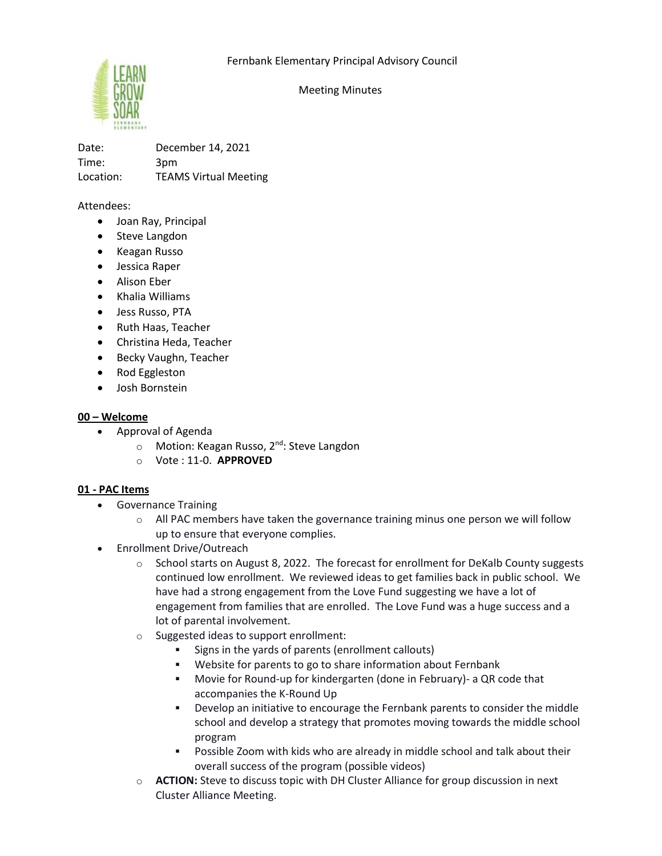

Meeting Minutes

Date: December 14, 2021 Time: 3pm Location: TEAMS Virtual Meeting

Attendees:

- Joan Ray, Principal
- Steve Langdon
- Keagan Russo
- Jessica Raper
- Alison Eber
- Khalia Williams
- Jess Russo, PTA
- Ruth Haas, Teacher
- Christina Heda, Teacher
- Becky Vaughn, Teacher
- Rod Eggleston
- Josh Bornstein

### **00 – Welcome**

- Approval of Agenda
	- o Motion: Keagan Russo, 2<sup>nd</sup>: Steve Langdon
	- o Vote : 11-0. **APPROVED**

### **01 - PAC Items**

- Governance Training
	- $\circ$  All PAC members have taken the governance training minus one person we will follow up to ensure that everyone complies.
- Enrollment Drive/Outreach
	- o School starts on August 8, 2022. The forecast for enrollment for DeKalb County suggests continued low enrollment. We reviewed ideas to get families back in public school. We have had a strong engagement from the Love Fund suggesting we have a lot of engagement from families that are enrolled. The Love Fund was a huge success and a lot of parental involvement.
	- o Suggested ideas to support enrollment:
		- Signs in the yards of parents (enrollment callouts)
		- Website for parents to go to share information about Fernbank
		- Movie for Round-up for kindergarten (done in February)- a QR code that accompanies the K-Round Up
		- Develop an initiative to encourage the Fernbank parents to consider the middle school and develop a strategy that promotes moving towards the middle school program
		- Possible Zoom with kids who are already in middle school and talk about their overall success of the program (possible videos)
	- o **ACTION:** Steve to discuss topic with DH Cluster Alliance for group discussion in next Cluster Alliance Meeting.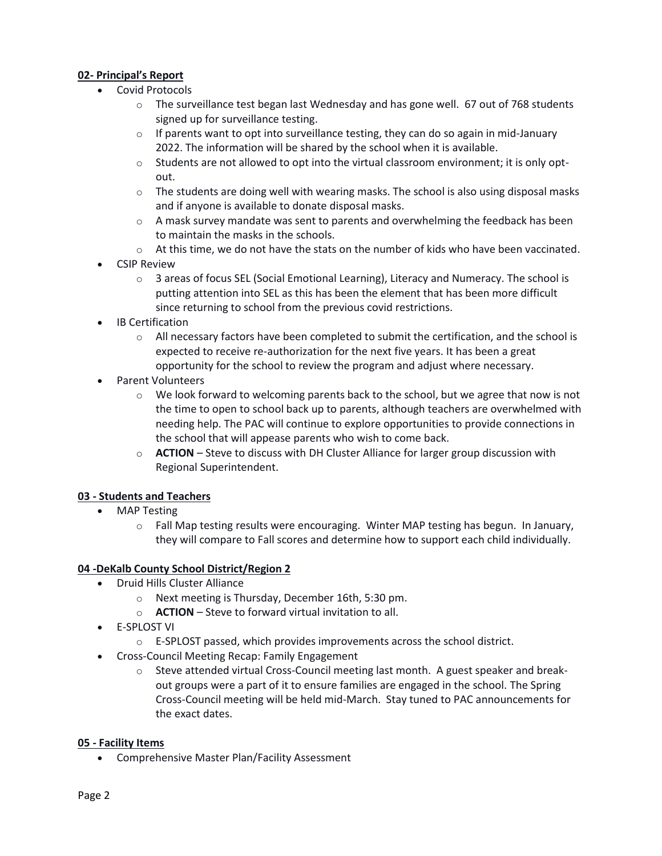# **02- Principal's Report**

- Covid Protocols
	- $\circ$  The surveillance test began last Wednesday and has gone well. 67 out of 768 students signed up for surveillance testing.
	- $\circ$  If parents want to opt into surveillance testing, they can do so again in mid-January 2022. The information will be shared by the school when it is available.
	- $\circ$  Students are not allowed to opt into the virtual classroom environment; it is only optout.
	- $\circ$  The students are doing well with wearing masks. The school is also using disposal masks and if anyone is available to donate disposal masks.
	- $\circ$  A mask survey mandate was sent to parents and overwhelming the feedback has been to maintain the masks in the schools.
	- $\circ$  At this time, we do not have the stats on the number of kids who have been vaccinated.
- CSIP Review
	- $\circ$  3 areas of focus SEL (Social Emotional Learning), Literacy and Numeracy. The school is putting attention into SEL as this has been the element that has been more difficult since returning to school from the previous covid restrictions.
- IB Certification
	- $\circ$  All necessary factors have been completed to submit the certification, and the school is expected to receive re-authorization for the next five years. It has been a great opportunity for the school to review the program and adjust where necessary.
- Parent Volunteers
	- $\circ$  We look forward to welcoming parents back to the school, but we agree that now is not the time to open to school back up to parents, although teachers are overwhelmed with needing help. The PAC will continue to explore opportunities to provide connections in the school that will appease parents who wish to come back.
	- o **ACTION** Steve to discuss with DH Cluster Alliance for larger group discussion with Regional Superintendent.

### **03 - Students and Teachers**

- **MAP Testing** 
	- o Fall Map testing results were encouraging. Winter MAP testing has begun. In January, they will compare to Fall scores and determine how to support each child individually.

### **04 -DeKalb County School District/Region 2**

- Druid Hills Cluster Alliance
	- o Next meeting is Thursday, December 16th, 5:30 pm.
	- o **ACTION** Steve to forward virtual invitation to all.
- E-SPLOST VI
	- o E-SPLOST passed, which provides improvements across the school district.
- Cross-Council Meeting Recap: Family Engagement
	- $\circ$  Steve attended virtual Cross-Council meeting last month. A guest speaker and breakout groups were a part of it to ensure families are engaged in the school. The Spring Cross-Council meeting will be held mid-March. Stay tuned to PAC announcements for the exact dates.

### **05 - Facility Items**

• Comprehensive Master Plan/Facility Assessment